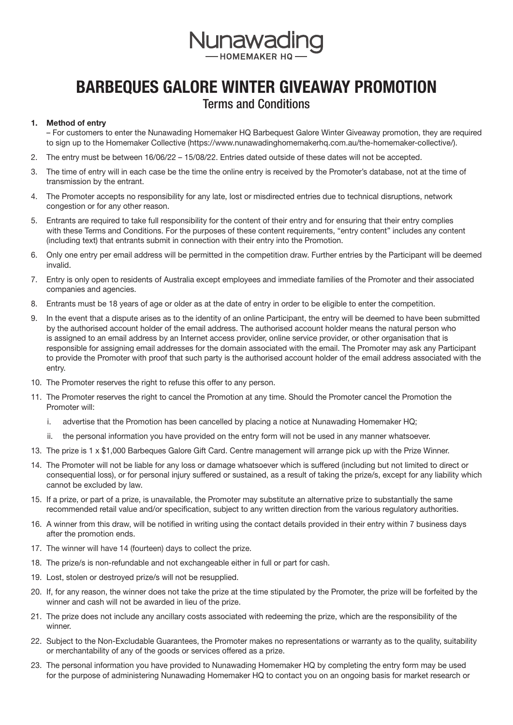

## BARBEQUES GALORE WINTER GIVEAWAY PROMOTION

## Terms and Conditions

## 1. Method of entry

– For customers to enter the Nunawading Homemaker HQ Barbequest Galore Winter Giveaway promotion, they are required to sign up to the Homemaker Collective (https://www.nunawadinghomemakerhq.com.au/the-homemaker-collective/).

- 2. The entry must be between 16/06/22 15/08/22. Entries dated outside of these dates will not be accepted.
- 3. The time of entry will in each case be the time the online entry is received by the Promoter's database, not at the time of transmission by the entrant.
- 4. The Promoter accepts no responsibility for any late, lost or misdirected entries due to technical disruptions, network congestion or for any other reason.
- 5. Entrants are required to take full responsibility for the content of their entry and for ensuring that their entry complies with these Terms and Conditions. For the purposes of these content requirements, "entry content" includes any content (including text) that entrants submit in connection with their entry into the Promotion.
- 6. Only one entry per email address will be permitted in the competition draw. Further entries by the Participant will be deemed invalid.
- 7. Entry is only open to residents of Australia except employees and immediate families of the Promoter and their associated companies and agencies.
- 8. Entrants must be 18 years of age or older as at the date of entry in order to be eligible to enter the competition.
- 9. In the event that a dispute arises as to the identity of an online Participant, the entry will be deemed to have been submitted by the authorised account holder of the email address. The authorised account holder means the natural person who is assigned to an email address by an Internet access provider, online service provider, or other organisation that is responsible for assigning email addresses for the domain associated with the email. The Promoter may ask any Participant to provide the Promoter with proof that such party is the authorised account holder of the email address associated with the entry.
- 10. The Promoter reserves the right to refuse this offer to any person.
- 11. The Promoter reserves the right to cancel the Promotion at any time. Should the Promoter cancel the Promotion the Promoter will:
	- i. advertise that the Promotion has been cancelled by placing a notice at Nunawading Homemaker HQ;
	- ii. the personal information you have provided on the entry form will not be used in any manner whatsoever.
- 13. The prize is 1 x \$1,000 Barbeques Galore Gift Card. Centre management will arrange pick up with the Prize Winner.
- 14. The Promoter will not be liable for any loss or damage whatsoever which is suffered (including but not limited to direct or consequential loss), or for personal injury suffered or sustained, as a result of taking the prize/s, except for any liability which cannot be excluded by law.
- 15. If a prize, or part of a prize, is unavailable, the Promoter may substitute an alternative prize to substantially the same recommended retail value and/or specification, subject to any written direction from the various regulatory authorities.
- 16. A winner from this draw, will be notified in writing using the contact details provided in their entry within 7 business days after the promotion ends.
- 17. The winner will have 14 (fourteen) days to collect the prize.
- 18. The prize/s is non-refundable and not exchangeable either in full or part for cash.
- 19. Lost, stolen or destroyed prize/s will not be resupplied.
- 20. If, for any reason, the winner does not take the prize at the time stipulated by the Promoter, the prize will be forfeited by the winner and cash will not be awarded in lieu of the prize.
- 21. The prize does not include any ancillary costs associated with redeeming the prize, which are the responsibility of the winner.
- 22. Subject to the Non-Excludable Guarantees, the Promoter makes no representations or warranty as to the quality, suitability or merchantability of any of the goods or services offered as a prize.
- 23. The personal information you have provided to Nunawading Homemaker HQ by completing the entry form may be used for the purpose of administering Nunawading Homemaker HQ to contact you on an ongoing basis for market research or